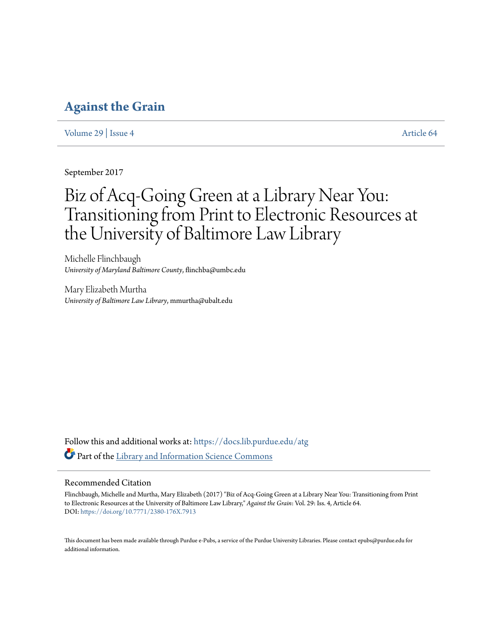# **[Against the Grain](https://docs.lib.purdue.edu/atg?utm_source=docs.lib.purdue.edu%2Fatg%2Fvol29%2Fiss4%2F64&utm_medium=PDF&utm_campaign=PDFCoverPages)**

[Volume 29](https://docs.lib.purdue.edu/atg/vol29?utm_source=docs.lib.purdue.edu%2Fatg%2Fvol29%2Fiss4%2F64&utm_medium=PDF&utm_campaign=PDFCoverPages) | [Issue 4](https://docs.lib.purdue.edu/atg/vol29/iss4?utm_source=docs.lib.purdue.edu%2Fatg%2Fvol29%2Fiss4%2F64&utm_medium=PDF&utm_campaign=PDFCoverPages) [Article 64](https://docs.lib.purdue.edu/atg/vol29/iss4/64?utm_source=docs.lib.purdue.edu%2Fatg%2Fvol29%2Fiss4%2F64&utm_medium=PDF&utm_campaign=PDFCoverPages)

September 2017

# Biz of Acq-Going Green at a Library Near You: Transitioning from Print to Electronic Resources at the University of Baltimore Law Library

Michelle Flinchbaugh *University of Maryland Baltimore County*, flinchba@umbc.edu

Mary Elizabeth Murtha *University of Baltimore Law Library*, mmurtha@ubalt.edu

Follow this and additional works at: [https://docs.lib.purdue.edu/atg](https://docs.lib.purdue.edu/atg?utm_source=docs.lib.purdue.edu%2Fatg%2Fvol29%2Fiss4%2F64&utm_medium=PDF&utm_campaign=PDFCoverPages) Part of the [Library and Information Science Commons](http://network.bepress.com/hgg/discipline/1018?utm_source=docs.lib.purdue.edu%2Fatg%2Fvol29%2Fiss4%2F64&utm_medium=PDF&utm_campaign=PDFCoverPages)

## Recommended Citation

Flinchbaugh, Michelle and Murtha, Mary Elizabeth (2017) "Biz of Acq-Going Green at a Library Near You: Transitioning from Print to Electronic Resources at the University of Baltimore Law Library," *Against the Grain*: Vol. 29: Iss. 4, Article 64. DOI: <https://doi.org/10.7771/2380-176X.7913>

This document has been made available through Purdue e-Pubs, a service of the Purdue University Libraries. Please contact epubs@purdue.edu for additional information.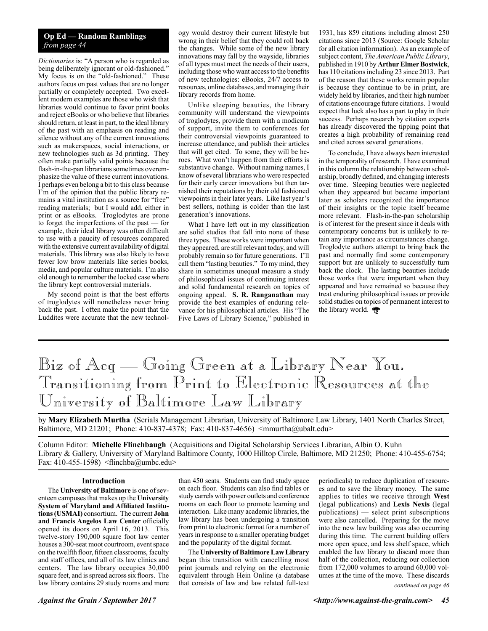### **Op Ed — Random Ramblings** *from page 44*

*Dictionaries* is: "A person who is regarded as being deliberately ignorant or old-fashioned." My focus is on the "old-fashioned." These authors focus on past values that are no longer partially or completely accepted. Two excellent modern examples are those who wish that libraries would continue to favor print books and reject eBooks or who believe that libraries should return, at least in part, to the ideal library of the past with an emphasis on reading and silence without any of the current innovations such as makerspaces, social interactions, or new technologies such as 3d printing. They often make partially valid points because the flash-in-the-pan librarians sometimes overemphasize the value of these current innovations. I perhaps even belong a bit to this class because I'm of the opinion that the public library remains a vital institution as a source for "free" reading materials; but I would add, either in print or as eBooks. Troglodytes are prone to forget the imperfections of the past — for example, their ideal library was often difficult to use with a paucity of resources compared with the extensive current availability of digital materials. This library was also likely to have fewer low brow materials like series books, media, and popular culture materials. I'm also old enough to remember the locked case where the library kept controversial materials.

My second point is that the best efforts of troglodytes will nonetheless never bring back the past. I often make the point that the Luddites were accurate that the new technology would destroy their current lifestyle but wrong in their belief that they could roll back the changes. While some of the new library innovations may fall by the wayside, libraries of all types must meet the needs of their users, including those who want access to the benefits of new technologies: eBooks, 24/7 access to resources, online databases, and managing their library records from home.

Unlike sleeping beauties, the library community will understand the viewpoints of troglodytes, provide them with a modicum of support, invite them to conferences for their controversial viewpoints guaranteed to increase attendance, and publish their articles that will get cited. To some, they will be heroes. What won't happen from their efforts is substantive change. Without naming names, I know of several librarians who were respected for their early career innovations but then tarnished their reputations by their old fashioned viewpoints in their later years. Like last year's best sellers, nothing is colder than the last generation's innovations.

What I have left out in my classification are solid studies that fall into none of these three types. These works were important when they appeared, are still relevant today, and will probably remain so for future generations. I'll call them "lasting beauties." To my mind, they share in sometimes unequal measure a study of philosophical issues of continuing interest and solid fundamental research on topics of ongoing appeal. **S. R. Ranganathan** may provide the best examples of enduring relevance for his philosophical articles. His "The Five Laws of Library Science," published in

1931, has 859 citations including almost 250 citations since 2013 (Source: Google Scholar for all citation information). As an example of subject content, *The American Public Library*, published in 1910 by **Arthur Elmer Bostwick**, has 110 citations including 23 since 2013. Part of the reason that these works remain popular is because they continue to be in print, are widely held by libraries, and their high number of citations encourage future citations. I would expect that luck also has a part to play in their success. Perhaps research by citation experts has already discovered the tipping point that creates a high probability of remaining read and cited across several generations.

To conclude, I have always been interested in the temporality of research. I have examined in this column the relationship between scholarship, broadly defined, and changing interests over time. Sleeping beauties were neglected when they appeared but became important later as scholars recognized the importance of their insights or the topic itself became more relevant. Flash-in-the-pan scholarship is of interest for the present since it deals with contemporary concerns but is unlikely to retain any importance as circumstances change. Troglodyte authors attempt to bring back the past and normally find some contemporary support but are unlikely to successfully turn back the clock. The lasting beauties include those works that were important when they appeared and have remained so because they treat enduring philosophical issues or provide solid studies on topics of permanent interest to the library world.

# Biz of Acq — Going Green at a Library Near You. Transitioning from Print to Electronic Resources at the University of Baltimore Law Library

by **Mary Elizabeth Murtha** (Serials Management Librarian, University of Baltimore Law Library, 1401 North Charles Street, Baltimore, MD 21201; Phone: 410-837-4378; Fax: 410-837-4656) <mmurtha@ubalt.edu>

Column Editor: **Michelle Flinchbaugh** (Acquisitions and Digital Scholarship Services Librarian, Albin O. Kuhn Library & Gallery, University of Maryland Baltimore County, 1000 Hilltop Circle, Baltimore, MD 21250; Phone: 410-455-6754; Fax: 410-455-1598) <flinchba@umbc.edu>

#### **Introduction**

The **University of Baltimore** is one of seventeen campuses that makes up the **University System of Maryland and Affiliated Institutions (USMAI)** consortium. The current **John and Francis Angelos Law Center** officially opened its doors on April 16, 2013. This twelve-story 190,000 square foot law center houses a 300-seat moot courtroom, event space on the twelfth floor, fifteen classrooms, faculty and staff offices, and all of its law clinics and centers. The law library occupies 30,000 square feet, and is spread across six floors. The law library contains 29 study rooms and more than 450 seats. Students can find study space on each floor. Students can also find tables or study carrels with power outlets and conference rooms on each floor to promote learning and interaction. Like many academic libraries, the law library has been undergoing a transition from print to electronic format for a number of years in response to a smaller operating budget and the popularity of the digital format.

The **University of Baltimore Law Library** began this transition with cancelling most print journals and relying on the electronic equivalent through Hein Online (a database that consists of law and law related full-text

*continued on page 46* periodicals) to reduce duplication of resources and to save the library money. The same applies to titles we receive through **West** (legal publications) and **Lexis Nexis** (legal publications) — select print subscriptions were also cancelled. Preparing for the move into the new law building was also occurring during this time. The current building offers more open space, and less shelf space, which enabled the law library to discard more than half of the collection, reducing our collection from 172,000 volumes to around 60,000 volumes at the time of the move. These discards